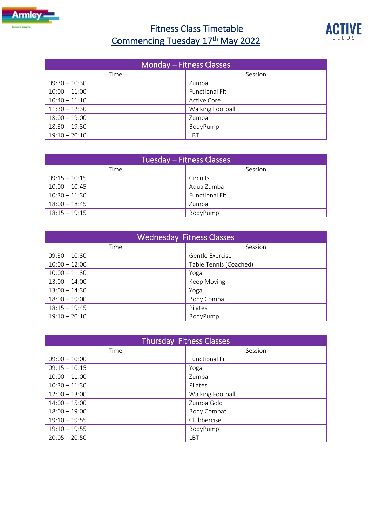

## Fitness Class Timetable Commencing Tuesday 17<sup>th</sup> May 2022



| Monday – Fitness Classes |                       |  |
|--------------------------|-----------------------|--|
| Time                     | Session               |  |
| $09:30 - 10:30$          | Zumba                 |  |
| $10:00 - 11:00$          | <b>Functional Fit</b> |  |
| $10:40 - 11:10$          | <b>Active Core</b>    |  |
| $11:30 - 12:30$          | Walking Football      |  |
| $18:00 - 19:00$          | Zumba                 |  |
| $18:30 - 19:30$          | BodyPump              |  |
| $19:10 - 20:10$          | LBT                   |  |

| Tuesday – Fitness Classes |                       |  |
|---------------------------|-----------------------|--|
| Time                      | Session               |  |
| $09:15 - 10:15$           | Circuits              |  |
| $10:00 - 10:45$           | Aqua Zumba            |  |
| $10:30 - 11:30$           | <b>Functional Fit</b> |  |
| $18:00 - 18:45$           | Zumba                 |  |
| $18:15 - 19:15$           | BodyPump              |  |

| <b>Wednesday Fitness Classes</b> |                        |  |
|----------------------------------|------------------------|--|
| Time                             | Session                |  |
| $09:30 - 10:30$                  | Gentle Exercise        |  |
| $10:00 - 12:00$                  | Table Tennis (Coached) |  |
| $10:00 - 11:30$                  | Yoga                   |  |
| $13:00 - 14:00$                  | Keep Moving            |  |
| $13:00 - 14:30$                  | Yoga                   |  |
| $18:00 - 19:00$                  | Body Combat            |  |
| $18:15 - 19:45$                  | Pilates                |  |
| $19:10 - 20:10$                  | BodyPump               |  |

| <b>Thursday Fitness Classes</b> |                       |  |
|---------------------------------|-----------------------|--|
| Time                            | Session               |  |
| $09:00 - 10:00$                 | <b>Functional Fit</b> |  |
| $09:15 - 10:15$                 | Yoga                  |  |
| $10:00 - 11:00$                 | Zumba                 |  |
| $10:30 - 11:30$                 | Pilates               |  |
| $12:00 - 13:00$                 | Walking Football      |  |
| $14:00 - 15:00$                 | Zumba Gold            |  |
| $18:00 - 19:00$                 | Body Combat           |  |
| $19:10 - 19:55$                 | Clubbercise           |  |
| $19:10 - 19:55$                 | BodyPump              |  |
| $20:05 - 20:50$                 | LBT                   |  |